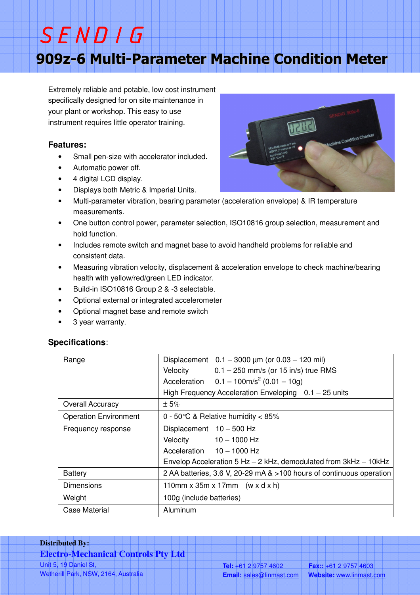909z-6 Multi-Parameter Machine Condition Meter

Extremely reliable and potable, low cost instrument specifically designed for on site maintenance in your plant or workshop. This easy to use instrument requires little operator training.

## **Features:**

- Small pen-size with accelerator included.
- Automatic power off.

SENDIG

- 4 digital LCD display.
- Displays both Metric & Imperial Units.
- Multi-parameter vibration, bearing parameter (acceleration envelope) & IR temperature measurements.
- One button control power, parameter selection, ISO10816 group selection, measurement and hold function.
- Includes remote switch and magnet base to avoid handheld problems for reliable and consistent data.
- Measuring vibration velocity, displacement & acceleration envelope to check machine/bearing health with yellow/red/green LED indicator.
- Build-in ISO10816 Group 2 & -3 selectable.
- Optional external or integrated accelerometer
- Optional magnet base and remote switch
- 3 year warranty.

### **Specifications**:

| Range                        | Displacement $0.1 - 3000 \mu m$ (or $0.03 - 120 \mu m$ )             |  |  |  |  |
|------------------------------|----------------------------------------------------------------------|--|--|--|--|
|                              | Velocity $0.1 - 250$ mm/s (or 15 in/s) true RMS                      |  |  |  |  |
|                              | Acceleration $0.1 - 100 \text{m/s}^2 (0.01 - 10 \text{g})$           |  |  |  |  |
|                              | High Frequency Acceleration Enveloping $0.1 - 25$ units              |  |  |  |  |
| <b>Overall Accuracy</b>      | $\pm 5\%$                                                            |  |  |  |  |
| <b>Operation Environment</b> | 0 - 50 °C & Relative humidity < 85%                                  |  |  |  |  |
| Frequency response           | Displacement $10 - 500$ Hz                                           |  |  |  |  |
|                              | Velocity $10-1000$ Hz                                                |  |  |  |  |
|                              | Acceleration 10 - 1000 Hz                                            |  |  |  |  |
|                              | Envelop Acceleration 5 Hz - 2 kHz, demodulated from 3kHz - 10kHz     |  |  |  |  |
| <b>Battery</b>               | 2 AA batteries, 3.6 V, 20-29 mA & >100 hours of continuous operation |  |  |  |  |
| <b>Dimensions</b>            | 110mm x 35m x 17mm $(w \times dx h)$                                 |  |  |  |  |
| Weight                       | 100g (include batteries)                                             |  |  |  |  |
| Case Material                | Aluminum                                                             |  |  |  |  |

# **Distributed By: Electro-Mechanical Controls Pty Ltd**  Unit 5, 19 Daniel St, Wetherill Park, NSW, 2164, Australia



e Condition Checke

**Tel:** +61 2 9757 4602 **Fax::** +61 2 9757 4603 **Email:** sales@linmast.com **Website:** www.linmast.com